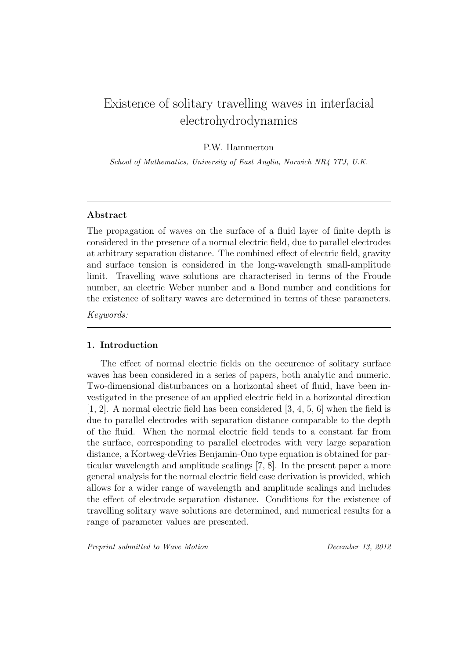# Existence of solitary travelling waves in interfacial electrohydrodynamics

# P.W. Hammerton

School of Mathematics, University of East Anglia, Norwich NR4 7TJ, U.K.

# Abstract

The propagation of waves on the surface of a fluid layer of finite depth is considered in the presence of a normal electric field, due to parallel electrodes at arbitrary separation distance. The combined effect of electric field, gravity and surface tension is considered in the long-wavelength small-amplitude limit. Travelling wave solutions are characterised in terms of the Froude number, an electric Weber number and a Bond number and conditions for the existence of solitary waves are determined in terms of these parameters.

Keywords:

## 1. Introduction

The effect of normal electric fields on the occurence of solitary surface waves has been considered in a series of papers, both analytic and numeric. Two-dimensional disturbances on a horizontal sheet of fluid, have been investigated in the presence of an applied electric field in a horizontal direction [1, 2]. A normal electric field has been considered [3, 4, 5, 6] when the field is due to parallel electrodes with separation distance comparable to the depth of the fluid. When the normal electric field tends to a constant far from the surface, corresponding to parallel electrodes with very large separation distance, a Kortweg-deVries Benjamin-Ono type equation is obtained for particular wavelength and amplitude scalings [7, 8]. In the present paper a more general analysis for the normal electric field case derivation is provided, which allows for a wider range of wavelength and amplitude scalings and includes the effect of electrode separation distance. Conditions for the existence of travelling solitary wave solutions are determined, and numerical results for a range of parameter values are presented.

Preprint submitted to Wave Motion **December 13, 2012**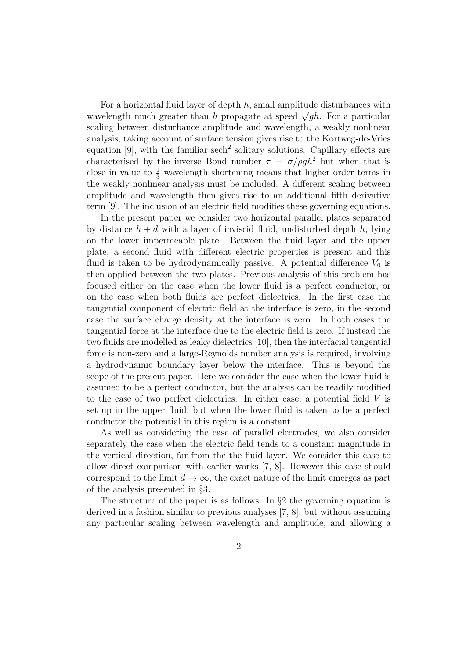For a horizontal fluid layer of depth  $h$ , small amplitude disturbances with wavelength much greater than h propagate at speed  $\sqrt{gh}$ . For a particular scaling between disturbance amplitude and wavelength, a weakly nonlinear analysis, taking account of surface tension gives rise to the Kortweg-de-Vries equation  $[9]$ , with the familiar sech<sup>2</sup> solitary solutions. Capillary effects are characterised by the inverse Bond number  $\tau = \sigma/\rho gh^2$  but when that is close in value to  $\frac{1}{3}$  wavelength shortening means that higher order terms in the weakly nonlinear analysis must be included. A different scaling between amplitude and wavelength then gives rise to an additional fifth derivative term [9]. The inclusion of an electric field modifies these governing equations.

In the present paper we consider two horizontal parallel plates separated by distance  $h + d$  with a layer of inviscid fluid, undisturbed depth h, lying on the lower impermeable plate. Between the fluid layer and the upper plate, a second fluid with different electric properties is present and this fluid is taken to be hydrodynamically passive. A potential difference  $V_0$  is then applied between the two plates. Previous analysis of this problem has focused either on the case when the lower fluid is a perfect conductor, or on the case when both fluids are perfect dielectrics. In the first case the tangential component of electric field at the interface is zero, in the second case the surface charge density at the interface is zero. In both cases the tangential force at the interface due to the electric field is zero. If instead the two fluids are modelled as leaky dielectrics [10], then the interfacial tangential force is non-zero and a large-Reynolds number analysis is required, involving a hydrodynamic boundary layer below the interface. This is beyond the scope of the present paper. Here we consider the case when the lower fluid is assumed to be a perfect conductor, but the analysis can be readily modified to the case of two perfect dielectrics. In either case, a potential field V is set up in the upper fluid, but when the lower fluid is taken to be a perfect conductor the potential in this region is a constant.

As well as considering the case of parallel electrodes, we also consider separately the case when the electric field tends to a constant magnitude in the vertical direction, far from the the fluid layer. We consider this case to allow direct comparison with earlier works [7, 8]. However this case should correspond to the limit  $d \to \infty$ , the exact nature of the limit emerges as part of the analysis presented in §3.

The structure of the paper is as follows. In §2 the governing equation is derived in a fashion similar to previous analyses [7, 8], but without assuming any particular scaling between wavelength and amplitude, and allowing a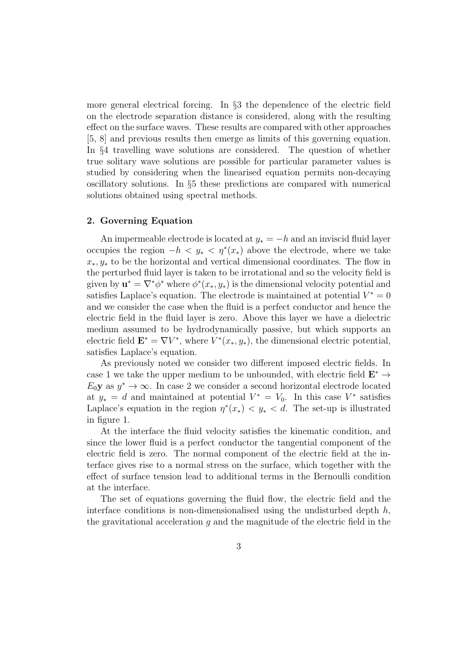more general electrical forcing. In §3 the dependence of the electric field on the electrode separation distance is considered, along with the resulting effect on the surface waves. These results are compared with other approaches [5, 8] and previous results then emerge as limits of this governing equation. In §4 travelling wave solutions are considered. The question of whether true solitary wave solutions are possible for particular parameter values is studied by considering when the linearised equation permits non-decaying oscillatory solutions. In §5 these predictions are compared with numerical solutions obtained using spectral methods.

## 2. Governing Equation

An impermeable electrode is located at  $y_* = -h$  and an inviscid fluid layer occupies the region  $-h < y_* < \eta^*(x_*)$  above the electrode, where we take  $x_*, y_*$  to be the horizontal and vertical dimensional coordinates. The flow in the perturbed fluid layer is taken to be irrotational and so the velocity field is given by  $\mathbf{u}^* = \nabla^* \phi^*$  where  $\phi^*(x_*, y_*)$  is the dimensional velocity potential and satisfies Laplace's equation. The electrode is maintained at potential  $V^* = 0$ and we consider the case when the fluid is a perfect conductor and hence the electric field in the fluid layer is zero. Above this layer we have a dielectric medium assumed to be hydrodynamically passive, but which supports an electric field  $\mathbf{E}^* = \nabla V^*$ , where  $V^*(x_*, y_*)$ , the dimensional electric potential, satisfies Laplace's equation.

As previously noted we consider two different imposed electric fields. In case 1 we take the upper medium to be unbounded, with electric field  $\mathbf{E}^* \to$  $E_0$ **y** as  $y^* \to \infty$ . In case 2 we consider a second horizontal electrode located at  $y_* = d$  and maintained at potential  $V^* = V_0$ . In this case  $V^*$  satisfies Laplace's equation in the region  $\eta^*(x_*) < y_* < d$ . The set-up is illustrated in figure 1.

At the interface the fluid velocity satisfies the kinematic condition, and since the lower fluid is a perfect conductor the tangential component of the electric field is zero. The normal component of the electric field at the interface gives rise to a normal stress on the surface, which together with the effect of surface tension lead to additional terms in the Bernoulli condition at the interface.

The set of equations governing the fluid flow, the electric field and the interface conditions is non-dimensionalised using the undisturbed depth  $h$ , the gravitational acceleration q and the magnitude of the electric field in the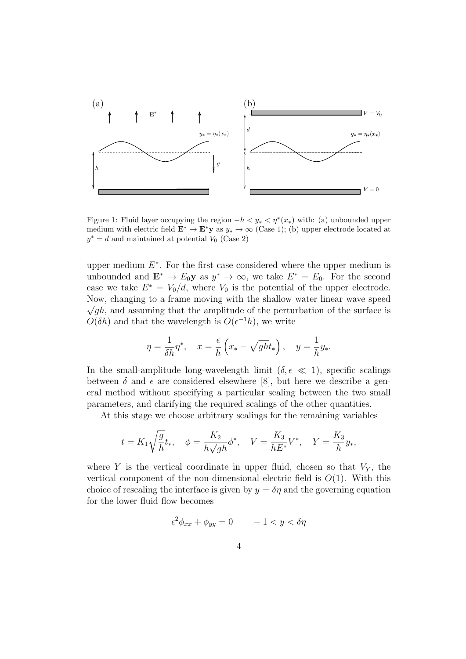

Figure 1: Fluid layer occupying the region  $-h < y_* < \eta^*(x_*)$  with: (a) unbounded upper medium with electric field  $\mathbf{E}^* \to \mathbf{E}^* \mathbf{y}$  as  $y_* \to \infty$  (Case 1); (b) upper electrode located at  $y^* = d$  and maintained at potential  $V_0$  (Case 2)

upper medium  $E^*$ . For the first case considered where the upper medium is unbounded and  $\mathbf{E}^* \to E_0 \mathbf{y}$  as  $y^* \to \infty$ , we take  $E^* = E_0$ . For the second case we take  $E^* = V_0/d$ , where  $V_0$  is the potential of the upper electrode. Now, changing to a frame moving with the shallow water linear wave speed  $\sqrt{gh}$ , and assuming that the amplitude of the perturbation of the surface is  $O(\delta h)$  and that the wavelength is  $O(\epsilon^{-1}h)$ , we write

$$
\eta = \frac{1}{\delta h} \eta^*, \quad x = \frac{\epsilon}{h} \left( x_* - \sqrt{gh} t_* \right), \quad y = \frac{1}{h} y_*.
$$

In the small-amplitude long-wavelength limit ( $\delta, \epsilon \ll 1$ ), specific scalings between  $\delta$  and  $\epsilon$  are considered elsewhere [8], but here we describe a general method without specifying a particular scaling between the two small parameters, and clarifying the required scalings of the other quantities.

At this stage we choose arbitrary scalings for the remaining variables

$$
t = K_1 \sqrt{\frac{g}{h}} t_*, \quad \phi = \frac{K_2}{h\sqrt{gh}} \phi^*, \quad V = \frac{K_3}{hE^*} V^*, \quad Y = \frac{K_3}{h} y_*,
$$

where Y is the vertical coordinate in upper fluid, chosen so that  $V_Y$ , the vertical component of the non-dimensional electric field is  $O(1)$ . With this choice of rescaling the interface is given by  $y = \delta \eta$  and the governing equation for the lower fluid flow becomes

$$
\epsilon^2 \phi_{xx} + \phi_{yy} = 0 \qquad -1 < y < \delta \eta
$$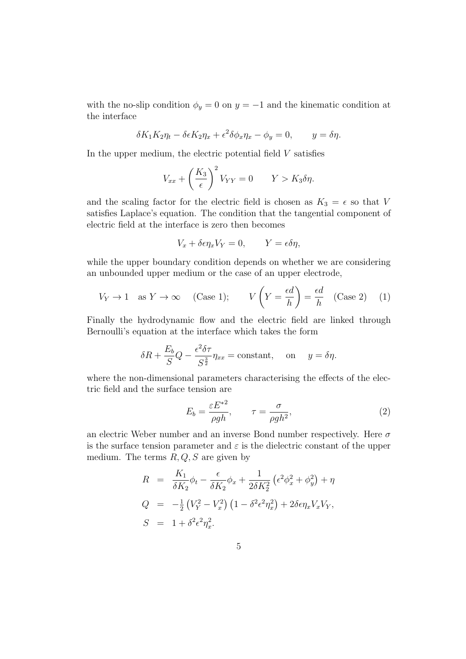with the no-slip condition  $\phi_y = 0$  on  $y = -1$  and the kinematic condition at the interface

$$
\delta K_1 K_2 \eta_t - \delta \epsilon K_2 \eta_x + \epsilon^2 \delta \phi_x \eta_x - \phi_y = 0, \qquad y = \delta \eta.
$$

In the upper medium, the electric potential field  $V$  satisfies

$$
V_{xx} + \left(\frac{K_3}{\epsilon}\right)^2 V_{YY} = 0 \qquad Y > K_3 \delta \eta.
$$

and the scaling factor for the electric field is chosen as  $K_3 = \epsilon$  so that V satisfies Laplace's equation. The condition that the tangential component of electric field at the interface is zero then becomes

$$
V_x + \delta \epsilon \eta_x V_Y = 0, \qquad Y = \epsilon \delta \eta,
$$

while the upper boundary condition depends on whether we are considering an unbounded upper medium or the case of an upper electrode,

$$
V_Y \to 1
$$
 as  $Y \to \infty$  (Case 1);  $V\left(Y = \frac{\epsilon d}{h}\right) = \frac{\epsilon d}{h}$  (Case 2) (1)

Finally the hydrodynamic flow and the electric field are linked through Bernoulli's equation at the interface which takes the form

$$
\delta R + \frac{E_b}{S} Q - \frac{\epsilon^2 \delta \tau}{S^{\frac{3}{2}}} \eta_{xx} = \text{constant}, \quad \text{on} \quad y = \delta \eta.
$$

where the non-dimensional parameters characterising the effects of the electric field and the surface tension are

$$
E_b = \frac{\varepsilon E^{*2}}{\rho gh}, \qquad \tau = \frac{\sigma}{\rho gh^2}, \tag{2}
$$

an electric Weber number and an inverse Bond number respectively. Here  $\sigma$ is the surface tension parameter and  $\varepsilon$  is the dielectric constant of the upper medium. The terms  $R, Q, S$  are given by

$$
R = \frac{K_1}{\delta K_2} \phi_t - \frac{\epsilon}{\delta K_2} \phi_x + \frac{1}{2\delta K_2^2} \left( \epsilon^2 \phi_x^2 + \phi_y^2 \right) + \eta
$$
  
\n
$$
Q = -\frac{1}{2} \left( V_Y^2 - V_x^2 \right) \left( 1 - \delta^2 \epsilon^2 \eta_x^2 \right) + 2\delta \epsilon \eta_x V_x V_Y,
$$
  
\n
$$
S = 1 + \delta^2 \epsilon^2 \eta_x^2.
$$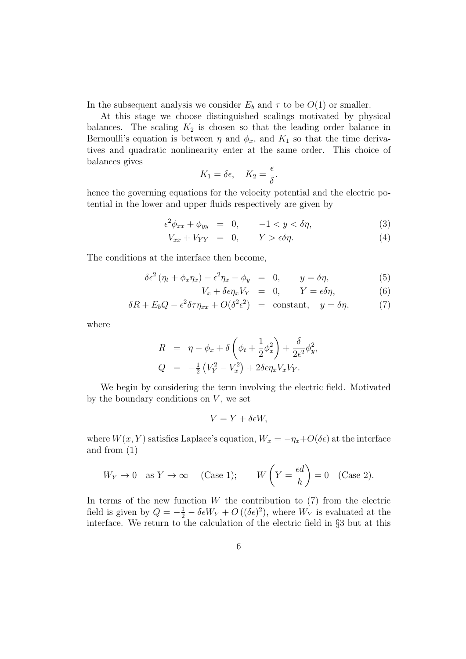In the subsequent analysis we consider  $E_b$  and  $\tau$  to be  $O(1)$  or smaller.

At this stage we choose distinguished scalings motivated by physical balances. The scaling  $K_2$  is chosen so that the leading order balance in Bernoulli's equation is between  $\eta$  and  $\phi_x$ , and  $K_1$  so that the time derivatives and quadratic nonlinearity enter at the same order. This choice of balances gives

$$
K_1 = \delta \epsilon, \quad K_2 = \frac{\epsilon}{\delta}.
$$

hence the governing equations for the velocity potential and the electric potential in the lower and upper fluids respectively are given by

$$
\epsilon^2 \phi_{xx} + \phi_{yy} = 0, \qquad -1 < y < \delta \eta,\tag{3}
$$

$$
V_{xx} + V_{YY} = 0, \t Y > \epsilon \delta \eta. \t (4)
$$

The conditions at the interface then become,

$$
\delta \epsilon^2 \left( \eta_t + \phi_x \eta_x \right) - \epsilon^2 \eta_x - \phi_y = 0, \qquad y = \delta \eta, \tag{5}
$$

$$
V_x + \delta \epsilon \eta_x V_Y = 0, \qquad Y = \epsilon \delta \eta, \tag{6}
$$

$$
\delta R + E_b Q - \epsilon^2 \delta \tau \eta_{xx} + O(\delta^2 \epsilon^2) = \text{constant}, \quad y = \delta \eta, \tag{7}
$$

where

$$
R = \eta - \phi_x + \delta \left( \phi_t + \frac{1}{2} \phi_x^2 \right) + \frac{\delta}{2\epsilon^2} \phi_y^2,
$$
  
\n
$$
Q = -\frac{1}{2} \left( V_Y^2 - V_x^2 \right) + 2\delta \epsilon \eta_x V_x V_Y.
$$

We begin by considering the term involving the electric field. Motivated by the boundary conditions on  $V$ , we set

$$
V = Y + \delta \epsilon W,
$$

where  $W(x, Y)$  satisfies Laplace's equation,  $W_x = -\eta_x + O(\delta \epsilon)$  at the interface and from (1)

$$
W_Y \to 0
$$
 as  $Y \to \infty$  (Case 1);  $W\left(Y = \frac{\epsilon d}{h}\right) = 0$  (Case 2).

In terms of the new function  $W$  the contribution to  $(7)$  from the electric field is given by  $Q = -\frac{1}{2} - \delta \epsilon W_Y + O((\delta \epsilon)^2)$ , where  $W_Y$  is evaluated at the interface. We return to the calculation of the electric field in §3 but at this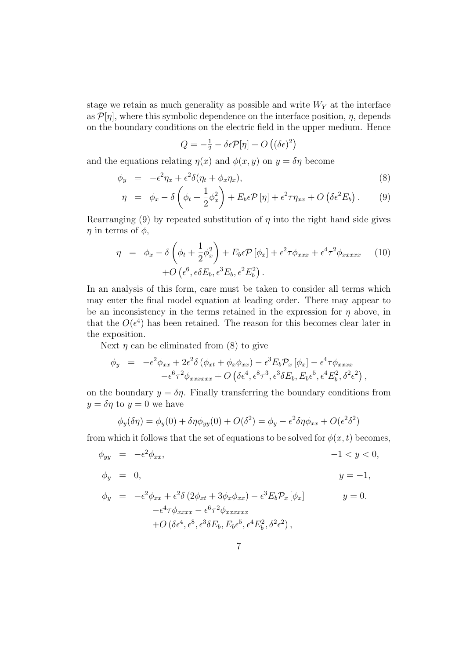stage we retain as much generality as possible and write  $W_Y$  at the interface as  $\mathcal{P}[\eta]$ , where this symbolic dependence on the interface position,  $\eta$ , depends on the boundary conditions on the electric field in the upper medium. Hence

$$
Q = -\frac{1}{2} - \delta \epsilon \mathcal{P}[\eta] + O\left((\delta \epsilon)^2\right)
$$

and the equations relating  $\eta(x)$  and  $\phi(x, y)$  on  $y = \delta \eta$  become

$$
\phi_y = -\epsilon^2 \eta_x + \epsilon^2 \delta(\eta_t + \phi_x \eta_x), \tag{8}
$$

$$
\eta = \phi_x - \delta \left( \phi_t + \frac{1}{2} \phi_x^2 \right) + E_b \epsilon \mathcal{P} \left[ \eta \right] + \epsilon^2 \tau \eta_{xx} + O \left( \delta \epsilon^2 E_b \right). \tag{9}
$$

Rearranging (9) by repeated substitution of  $\eta$  into the right hand side gives  $\eta$  in terms of  $\phi$ ,

$$
\eta = \phi_x - \delta \left( \phi_t + \frac{1}{2} \phi_x^2 \right) + E_b \epsilon \mathcal{P} \left[ \phi_x \right] + \epsilon^2 \tau \phi_{xxx} + \epsilon^4 \tau^2 \phi_{xxxxx} \qquad (10)
$$

$$
+ O \left( \epsilon^6, \epsilon \delta E_b, \epsilon^3 E_b, \epsilon^2 E_b^2 \right).
$$

In an analysis of this form, care must be taken to consider all terms which may enter the final model equation at leading order. There may appear to be an inconsistency in the terms retained in the expression for  $\eta$  above, in that the  $O(\epsilon^4)$  has been retained. The reason for this becomes clear later in the exposition.

Next  $\eta$  can be eliminated from (8) to give

$$
\begin{array}{lll}\n\phi_y &=& -\epsilon^2 \phi_{xx} + 2\epsilon^2 \delta \left( \phi_{xt} + \phi_x \phi_{xx} \right) - \epsilon^3 E_b \mathcal{P}_x \left[ \phi_x \right] - \epsilon^4 \tau \phi_{xxxx} \\
&- \epsilon^6 \tau^2 \phi_{xxxxxx} + O \left( \delta \epsilon^4, \epsilon^8 \tau^3, \epsilon^3 \delta E_b, E_b \epsilon^5, \epsilon^4 E_b^2, \delta^2 \epsilon^2 \right),\n\end{array}
$$

on the boundary  $y = \delta \eta$ . Finally transferring the boundary conditions from  $y = \delta \eta$  to  $y = 0$  we have

$$
\phi_y(\delta \eta) = \phi_y(0) + \delta \eta \phi_{yy}(0) + O(\delta^2) = \phi_y - \epsilon^2 \delta \eta \phi_{xx} + O(\epsilon^2 \delta^2)
$$

from which it follows that the set of equations to be solved for  $\phi(x, t)$  becomes,

$$
\phi_{yy} = -\epsilon^2 \phi_{xx}, \qquad -1 < y < 0,
$$

$$
\phi_y = 0, \qquad y = -1,
$$

$$
\phi_y = -\epsilon^2 \phi_{xx} + \epsilon^2 \delta \left( 2\phi_{xt} + 3\phi_x \phi_{xx} \right) - \epsilon^3 E_b \mathcal{P}_x \left[ \phi_x \right] \qquad y = 0.
$$
  

$$
-\epsilon^4 \tau \phi_{xxxx} - \epsilon^6 \tau^2 \phi_{xxxxxx}
$$
  

$$
+ O \left( \delta \epsilon^4, \epsilon^8, \epsilon^3 \delta E_b, E_b \epsilon^5, \epsilon^4 E_b^2, \delta^2 \epsilon^2 \right),
$$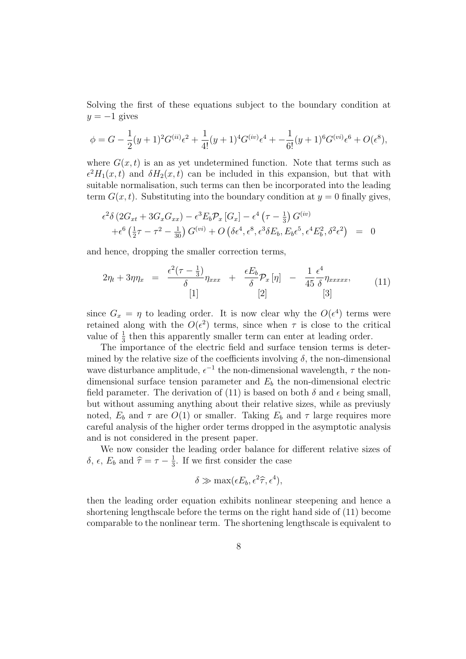Solving the first of these equations subject to the boundary condition at  $y = -1$  gives

$$
\phi = G - \frac{1}{2}(y+1)^2 G^{(ii)} \epsilon^2 + \frac{1}{4!}(y+1)^4 G^{(iv)} \epsilon^4 + -\frac{1}{6!}(y+1)^6 G^{(vi)} \epsilon^6 + O(\epsilon^8),
$$

where  $G(x, t)$  is an as yet undetermined function. Note that terms such as  $\epsilon^2 H_1(x,t)$  and  $\delta H_2(x,t)$  can be included in this expansion, but that with suitable normalisation, such terms can then be incorporated into the leading term  $G(x, t)$ . Substituting into the boundary condition at  $y = 0$  finally gives,

$$
\epsilon^2 \delta \left( 2G_{xt} + 3G_x G_{xx} \right) - \epsilon^3 E_b \mathcal{P}_x \left[ G_x \right] - \epsilon^4 \left( \tau - \frac{1}{3} \right) G^{(iv)} \n+ \epsilon^6 \left( \frac{1}{2} \tau - \tau^2 - \frac{1}{30} \right) G^{(vi)} + O \left( \delta \epsilon^4, \epsilon^8, \epsilon^3 \delta E_b, E_b \epsilon^5, \epsilon^4 E_b^2, \delta^2 \epsilon^2 \right) = 0
$$

and hence, dropping the smaller correction terms,

$$
2\eta_t + 3\eta\eta_x = \frac{\epsilon^2(\tau - \frac{1}{3})}{\delta}\eta_{xxx} + \frac{\epsilon E_b}{\delta} \mathcal{P}_x[\eta] - \frac{1}{45} \frac{\epsilon^4}{\delta}\eta_{xxxxx},
$$
(11)  
[1]

since  $G_x = \eta$  to leading order. It is now clear why the  $O(\epsilon^4)$  terms were retained along with the  $O(\epsilon^2)$  terms, since when  $\tau$  is close to the critical value of  $\frac{1}{3}$  then this apparently smaller term can enter at leading order.

The importance of the electric field and surface tension terms is determined by the relative size of the coefficients involving  $\delta$ , the non-dimensional wave disturbance amplitude,  $\epsilon^{-1}$  the non-dimensional wavelength,  $\tau$  the nondimensional surface tension parameter and  $E<sub>b</sub>$  the non-dimensional electric field parameter. The derivation of (11) is based on both  $\delta$  and  $\epsilon$  being small, but without assuming anything about their relative sizes, while as previusly noted,  $E_b$  and  $\tau$  are  $O(1)$  or smaller. Taking  $E_b$  and  $\tau$  large requires more careful analysis of the higher order terms dropped in the asymptotic analysis and is not considered in the present paper.

We now consider the leading order balance for different relative sizes of  $\delta$ ,  $\epsilon$ ,  $E_b$  and  $\hat{\tau} = \tau - \frac{1}{3}$  $\frac{1}{3}$ . If we first consider the case

$$
\delta \gg \max(\epsilon E_b, \epsilon^2 \hat{\tau}, \epsilon^4),
$$

then the leading order equation exhibits nonlinear steepening and hence a shortening lengthscale before the terms on the right hand side of (11) become comparable to the nonlinear term. The shortening lengthscale is equivalent to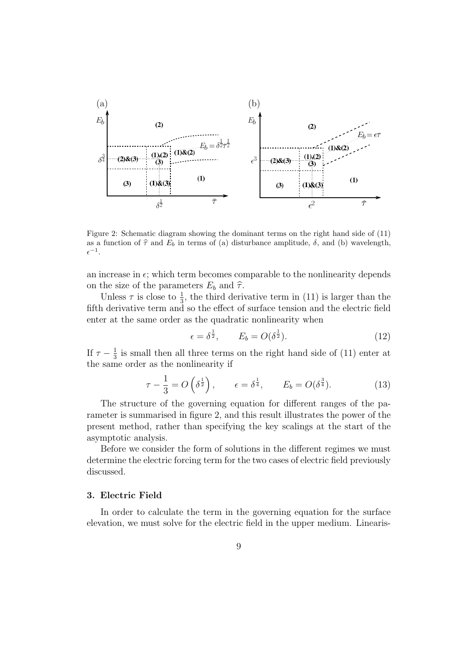

Figure 2: Schematic diagram showing the dominant terms on the right hand side of (11) as a function of  $\hat{\tau}$  and  $E_b$  in terms of (a) disturbance amplitude,  $\delta$ , and (b) wavelength,  $\epsilon^{-1}.$ 

an increase in  $\epsilon$ ; which term becomes comparable to the nonlinearity depends on the size of the parameters  $E_b$  and  $\hat{\tau}$ .

Unless  $\tau$  is close to  $\frac{1}{3}$ , the third derivative term in (11) is larger than the fifth derivative term and so the effect of surface tension and the electric field enter at the same order as the quadratic nonlinearity when

$$
\epsilon = \delta^{\frac{1}{2}}, \qquad E_b = O(\delta^{\frac{1}{2}}). \tag{12}
$$

If  $\tau-\frac{1}{3}$  $\frac{1}{3}$  is small then all three terms on the right hand side of (11) enter at the same order as the nonlinearity if

$$
\tau - \frac{1}{3} = O\left(\delta^{\frac{1}{2}}\right), \qquad \epsilon = \delta^{\frac{1}{4}}, \qquad E_b = O(\delta^{\frac{3}{4}}). \tag{13}
$$

The structure of the governing equation for different ranges of the parameter is summarised in figure 2, and this result illustrates the power of the present method, rather than specifying the key scalings at the start of the asymptotic analysis.

Before we consider the form of solutions in the different regimes we must determine the electric forcing term for the two cases of electric field previously discussed.

# 3. Electric Field

In order to calculate the term in the governing equation for the surface elevation, we must solve for the electric field in the upper medium. Linearis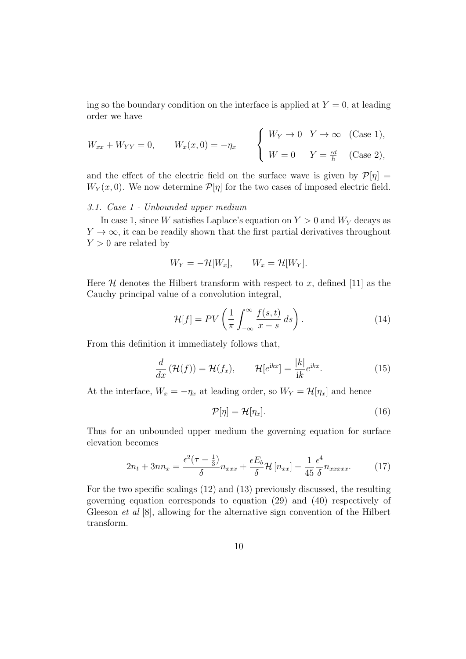ing so the boundary condition on the interface is applied at  $Y = 0$ , at leading order we have

$$
W_{xx} + W_{YY} = 0, \qquad W_x(x,0) = -\eta_x \qquad \begin{cases} W_Y \to 0 & Y \to \infty \quad \text{(Case 1)}, \\ W = 0 & Y = \frac{\epsilon d}{h} \quad \text{(Case 2)}, \end{cases}
$$

and the effect of the electric field on the surface wave is given by  $\mathcal{P}[\eta] =$  $W_Y(x,0)$ . We now determine  $\mathcal{P}[\eta]$  for the two cases of imposed electric field.

# 3.1. Case 1 - Unbounded upper medium

In case 1, since W satisfies Laplace's equation on  $Y > 0$  and  $W_Y$  decays as  $Y \to \infty$ , it can be readily shown that the first partial derivatives throughout  $Y > 0$  are related by

$$
W_Y = -\mathcal{H}[W_x], \qquad W_x = \mathcal{H}[W_Y].
$$

Here  $\mathcal H$  denotes the Hilbert transform with respect to x, defined [11] as the Cauchy principal value of a convolution integral,

$$
\mathcal{H}[f] = PV\left(\frac{1}{\pi} \int_{-\infty}^{\infty} \frac{f(s,t)}{x-s} ds\right). \tag{14}
$$

From this definition it immediately follows that,

$$
\frac{d}{dx}\left(\mathcal{H}(f)\right) = \mathcal{H}(f_x), \qquad \mathcal{H}[e^{\mathrm{i}kx}] = \frac{|k|}{\mathrm{i}k}e^{\mathrm{i}kx}.\tag{15}
$$

At the interface,  $W_x = -\eta_x$  at leading order, so  $W_Y = \mathcal{H}[\eta_x]$  and hence

$$
\mathcal{P}[\eta] = \mathcal{H}[\eta_x]. \tag{16}
$$

Thus for an unbounded upper medium the governing equation for surface elevation becomes

$$
2n_t + 3nn_x = \frac{\epsilon^2(\tau - \frac{1}{3})}{\delta}n_{xxx} + \frac{\epsilon E_b}{\delta} \mathcal{H}\left[n_{xx}\right] - \frac{1}{45} \frac{\epsilon^4}{\delta} n_{xxxxx}.
$$
 (17)

For the two specific scalings (12) and (13) previously discussed, the resulting governing equation corresponds to equation (29) and (40) respectively of Gleeson *et al*  $[8]$ , allowing for the alternative sign convention of the Hilbert transform.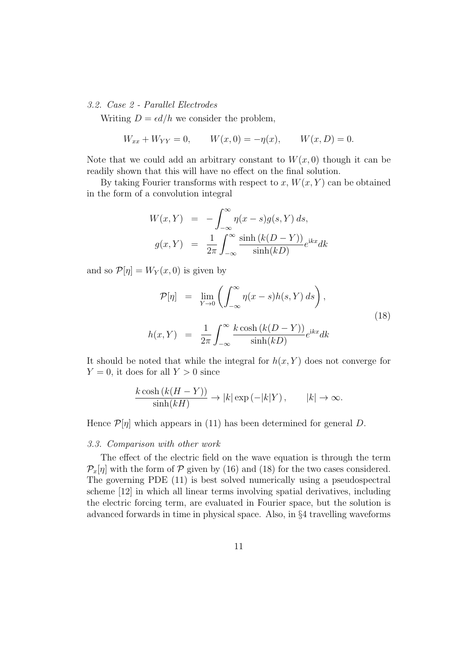#### 3.2. Case 2 - Parallel Electrodes

Writing  $D = \epsilon d/h$  we consider the problem,

$$
W_{xx} + W_{YY} = 0,
$$
  $W(x, 0) = -\eta(x),$   $W(x, D) = 0.$ 

Note that we could add an arbitrary constant to  $W(x, 0)$  though it can be readily shown that this will have no effect on the final solution.

By taking Fourier transforms with respect to x,  $W(x, Y)$  can be obtained in the form of a convolution integral

$$
W(x, Y) = -\int_{-\infty}^{\infty} \eta(x - s)g(s, Y) ds,
$$
  

$$
g(x, Y) = \frac{1}{2\pi} \int_{-\infty}^{\infty} \frac{\sinh (k(D - Y))}{\sinh (kD)} e^{ikx} dk
$$

and so  $\mathcal{P}[\eta] = W_Y(x,0)$  is given by

$$
\mathcal{P}[\eta] = \lim_{Y \to 0} \left( \int_{-\infty}^{\infty} \eta(x - s) h(s, Y) ds \right),
$$
  

$$
h(x, Y) = \frac{1}{2\pi} \int_{-\infty}^{\infty} \frac{k \cosh (k(D - Y))}{\sinh(kD)} e^{ikx} dk
$$
 (18)

It should be noted that while the integral for  $h(x, Y)$  does not converge for  $Y = 0$ , it does for all  $Y > 0$  since

$$
\frac{k \cosh\left(k(H - Y)\right)}{\sinh(kH)} \to |k| \exp\left(-|k|Y\right), \qquad |k| \to \infty.
$$

Hence  $\mathcal{P}[\eta]$  which appears in (11) has been determined for general D.

## 3.3. Comparison with other work

The effect of the electric field on the wave equation is through the term  $\mathcal{P}_x[\eta]$  with the form of  $\mathcal P$  given by (16) and (18) for the two cases considered. The governing PDE (11) is best solved numerically using a pseudospectral scheme [12] in which all linear terms involving spatial derivatives, including the electric forcing term, are evaluated in Fourier space, but the solution is advanced forwards in time in physical space. Also, in §4 travelling waveforms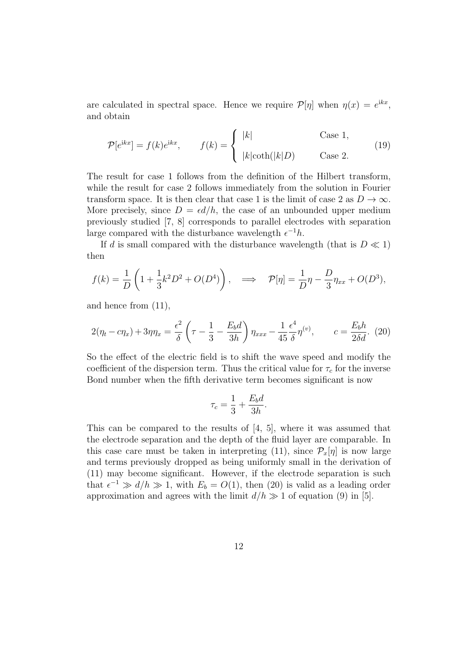are calculated in spectral space. Hence we require  $\mathcal{P}[\eta]$  when  $\eta(x) = e^{ikx}$ , and obtain

$$
\mathcal{P}[e^{ikx}] = f(k)e^{ikx}, \qquad f(k) = \begin{cases} |k| & \text{Case 1,} \\ |k|\coth(|k|D) & \text{Case 2.} \end{cases}
$$
 (19)

The result for case 1 follows from the definition of the Hilbert transform, while the result for case 2 follows immediately from the solution in Fourier transform space. It is then clear that case 1 is the limit of case 2 as  $D \to \infty$ . More precisely, since  $D = \epsilon d/h$ , the case of an unbounded upper medium previously studied [7, 8] corresponds to parallel electrodes with separation large compared with the disturbance wavelength  $\epsilon^{-1}h$ .

If d is small compared with the disturbance wavelength (that is  $D \ll 1$ ) then

$$
f(k) = \frac{1}{D} \left( 1 + \frac{1}{3} k^2 D^2 + O(D^4) \right), \implies \mathcal{P}[\eta] = \frac{1}{D} \eta - \frac{D}{3} \eta_{xx} + O(D^3),
$$

and hence from (11),

$$
2(\eta_t - c\eta_x) + 3\eta_t = \frac{\epsilon^2}{\delta} \left(\tau - \frac{1}{3} - \frac{E_b d}{3h}\right) \eta_{xxx} - \frac{1}{45} \frac{\epsilon^4}{\delta} \eta^{(v)}, \qquad c = \frac{E_b h}{2\delta d}.
$$
 (20)

So the effect of the electric field is to shift the wave speed and modify the coefficient of the dispersion term. Thus the critical value for  $\tau_c$  for the inverse Bond number when the fifth derivative term becomes significant is now

$$
\tau_c = \frac{1}{3} + \frac{E_b d}{3h}.
$$

This can be compared to the results of [4, 5], where it was assumed that the electrode separation and the depth of the fluid layer are comparable. In this case care must be taken in interpreting (11), since  $\mathcal{P}_x[\eta]$  is now large and terms previously dropped as being uniformly small in the derivation of (11) may become significant. However, if the electrode separation is such that  $\epsilon^{-1} \gg d/h \gg 1$ , with  $E_b = O(1)$ , then (20) is valid as a leading order approximation and agrees with the limit  $d/h \gg 1$  of equation (9) in [5].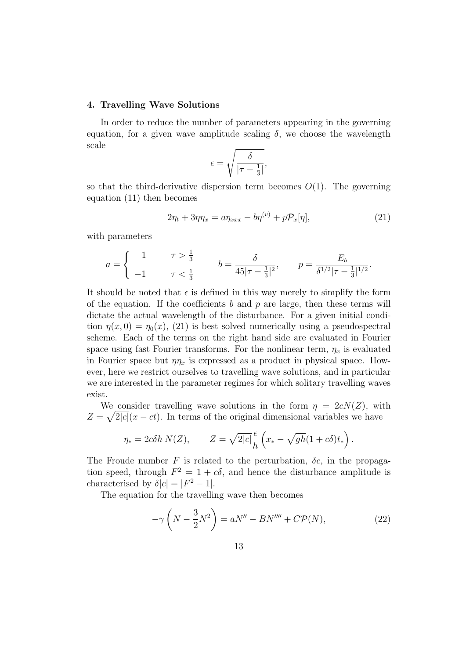#### 4. Travelling Wave Solutions

In order to reduce the number of parameters appearing in the governing equation, for a given wave amplitude scaling  $\delta$ , we choose the wavelength scale

$$
\epsilon = \sqrt{\frac{\delta}{|\tau - \frac{1}{3}|}},
$$

so that the third-derivative dispersion term becomes  $O(1)$ . The governing equation (11) then becomes

$$
2\eta_t + 3\eta \eta_x = a\eta_{xxx} - b\eta^{(v)} + p\mathcal{P}_x[\eta],\tag{21}
$$

with parameters

$$
a = \begin{cases} 1 & \tau > \frac{1}{3} \\ -1 & \tau < \frac{1}{3} \end{cases} \qquad b = \frac{\delta}{45|\tau - \frac{1}{3}|^2}, \qquad p = \frac{E_b}{\delta^{1/2}|\tau - \frac{1}{3}|^{1/2}}.
$$

It should be noted that  $\epsilon$  is defined in this way merely to simplify the form of the equation. If the coefficients b and p are large, then these terms will dictate the actual wavelength of the disturbance. For a given initial condition  $\eta(x, 0) = \eta_0(x)$ , (21) is best solved numerically using a pseudospectral scheme. Each of the terms on the right hand side are evaluated in Fourier space using fast Fourier transforms. For the nonlinear term,  $\eta_x$  is evaluated in Fourier space but  $\eta \eta_x$  is expressed as a product in physical space. However, here we restrict ourselves to travelling wave solutions, and in particular we are interested in the parameter regimes for which solitary travelling waves exist.

We consider travelling wave solutions in the form  $\eta = 2cN(Z)$ , with  $Z = \sqrt{2|c|}(x - ct)$ . In terms of the original dimensional variables we have

$$
\eta_* = 2c\delta h N(Z), \qquad Z = \sqrt{2|c|} \frac{\epsilon}{h} \left( x_* - \sqrt{gh} (1 + c\delta) t_* \right).
$$

The Froude number F is related to the perturbation,  $\delta c$ , in the propagation speed, through  $F^2 = 1 + c\delta$ , and hence the disturbance amplitude is characterised by  $\delta |c| = |F^2 - 1|$ .

The equation for the travelling wave then becomes

$$
-\gamma \left( N - \frac{3}{2}N^2 \right) = aN'' - BN'''' + C\mathcal{P}(N),\tag{22}
$$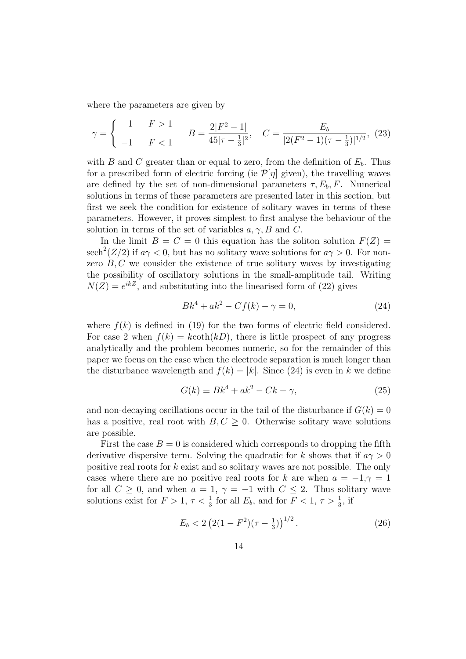where the parameters are given by

$$
\gamma = \begin{cases} 1 & F > 1 \\ -1 & F < 1 \end{cases} \qquad B = \frac{2|F^2 - 1|}{45|\tau - \frac{1}{3}|^2}, \quad C = \frac{E_b}{|2(F^2 - 1)(\tau - \frac{1}{3})|^{1/2}}, \tag{23}
$$

with B and C greater than or equal to zero, from the definition of  $E<sub>b</sub>$ . Thus for a prescribed form of electric forcing (ie  $\mathcal{P}[\eta]$  given), the travelling waves are defined by the set of non-dimensional parameters  $\tau$ ,  $E_b$ , F. Numerical solutions in terms of these parameters are presented later in this section, but first we seek the condition for existence of solitary waves in terms of these parameters. However, it proves simplest to first analyse the behaviour of the solution in terms of the set of variables  $a, \gamma, B$  and C.

In the limit  $B = C = 0$  this equation has the soliton solution  $F(Z) =$  ${\rm sech}^2(Z/2)$  if  $a\gamma < 0$ , but has no solitary wave solutions for  $a\gamma > 0$ . For nonzero  $B, C$  we consider the existence of true solitary waves by investigating the possibility of oscillatory solutions in the small-amplitude tail. Writing  $N(Z) = e^{ikZ}$ , and substituting into the linearised form of (22) gives

$$
Bk^4 + ak^2 - Cf(k) - \gamma = 0,
$$
 (24)

where  $f(k)$  is defined in (19) for the two forms of electric field considered. For case 2 when  $f(k) = k \coth(kD)$ , there is little prospect of any progress analytically and the problem becomes numeric, so for the remainder of this paper we focus on the case when the electrode separation is much longer than the disturbance wavelength and  $f(k) = |k|$ . Since (24) is even in k we define

$$
G(k) \equiv Bk^4 + ak^2 - Ck - \gamma,\tag{25}
$$

and non-decaying oscillations occur in the tail of the disturbance if  $G(k) = 0$ has a positive, real root with  $B, C \geq 0$ . Otherwise solitary wave solutions are possible.

First the case  $B = 0$  is considered which corresponds to dropping the fifth derivative dispersive term. Solving the quadratic for k shows that if  $a\gamma > 0$ positive real roots for k exist and so solitary waves are not possible. The only cases where there are no positive real roots for k are when  $a = -1, \gamma = 1$ for all  $C \geq 0$ , and when  $a = 1$ ,  $\gamma = -1$  with  $C \leq 2$ . Thus solitary wave solutions exist for  $F > 1$ ,  $\tau < \frac{1}{3}$  for all  $E_b$ , and for  $F < 1$ ,  $\tau > \frac{1}{3}$ , if

$$
E_b < 2\left(2(1 - F^2)(\tau - \frac{1}{3})\right)^{1/2}.\tag{26}
$$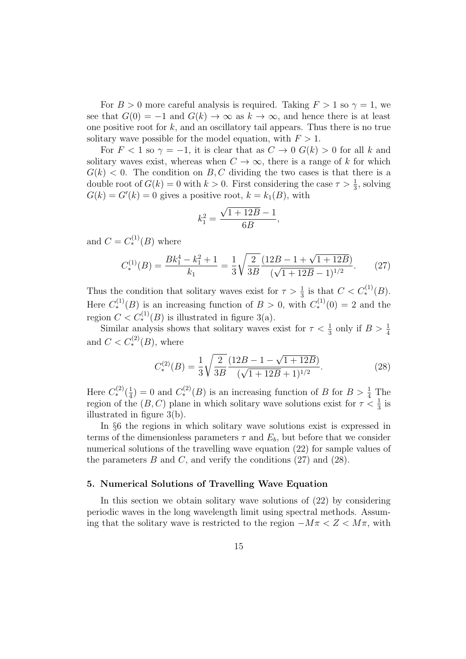For  $B > 0$  more careful analysis is required. Taking  $F > 1$  so  $\gamma = 1$ , we see that  $G(0) = -1$  and  $G(k) \to \infty$  as  $k \to \infty$ , and hence there is at least one positive root for  $k$ , and an oscillatory tail appears. Thus there is no true solitary wave possible for the model equation, with  $F > 1$ .

For  $F < 1$  so  $\gamma = -1$ , it is clear that as  $C \to 0$   $G(k) > 0$  for all k and solitary waves exist, whereas when  $C \to \infty$ , there is a range of k for which  $G(k) < 0$ . The condition on B, C dividing the two cases is that there is a double root of  $G(k) = 0$  with  $k > 0$ . First considering the case  $\tau > \frac{1}{3}$ , solving  $G(k) = G'(k) = 0$  gives a positive root,  $k = k_1(B)$ , with

$$
k_1^2 = \frac{\sqrt{1+12B}-1}{6B},
$$

and  $C = C_*^{(1)}(B)$  where

$$
C_*^{(1)}(B) = \frac{Bk_1^4 - k_1^2 + 1}{k_1} = \frac{1}{3} \sqrt{\frac{2}{3B}} \frac{(12B - 1 + \sqrt{1 + 12B})}{(\sqrt{1 + 12B} - 1)^{1/2}}.
$$
 (27)

Thus the condition that solitary waves exist for  $\tau > \frac{1}{3}$  is that  $C < C_*^{(1)}(B)$ . Here  $C_*^{(1)}(B)$  is an increasing function of  $B > 0$ , with  $C_*^{(1)}(0) = 2$  and the region  $C < C_*^{(1)}(B)$  is illustrated in figure 3(a).

Similar analysis shows that solitary waves exist for  $\tau < \frac{1}{3}$  only if  $B > \frac{1}{4}$ and  $C < C_*^{(2)}(B)$ , where

$$
C_*^{(2)}(B) = \frac{1}{3} \sqrt{\frac{2}{3B}} \frac{(12B - 1 - \sqrt{1 + 12B})}{(\sqrt{1 + 12B} + 1)^{1/2}}.
$$
 (28)

Here  $C^{(2)}_{*}(\frac{1}{4})$  $\frac{1}{4}$ ) = 0 and  $C_*^{(2)}(B)$  is an increasing function of B for  $B > \frac{1}{4}$  The region of the  $(B, C)$  plane in which solitary wave solutions exist for  $\tau < \frac{1}{3}$  is illustrated in figure 3(b).

In §6 the regions in which solitary wave solutions exist is expressed in terms of the dimensionless parameters  $\tau$  and  $E_b$ , but before that we consider numerical solutions of the travelling wave equation (22) for sample values of the parameters  $B$  and  $C$ , and verify the conditions  $(27)$  and  $(28)$ .

# 5. Numerical Solutions of Travelling Wave Equation

In this section we obtain solitary wave solutions of (22) by considering periodic waves in the long wavelength limit using spectral methods. Assuming that the solitary wave is restricted to the region  $-M\pi < Z < M\pi$ , with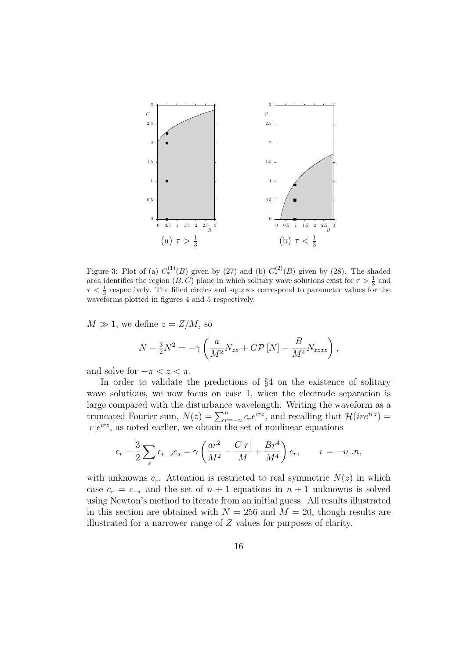

Figure 3: Plot of (a)  $C_*^{(1)}(B)$  given by (27) and (b)  $C_*^{(2)}(B)$  given by (28). The shaded area identifies the region  $(B, C)$  plane in which solitary wave solutions exist for  $\tau > \frac{1}{3}$  and  $\tau < \frac{1}{3}$  respectively. The filled circles and squares correspond to parameter values for the waveforms plotted in figures 4 and 5 respectively.

 $M \gg 1$ , we define  $z = Z/M$ , so

$$
N - \frac{3}{2}N^2 = -\gamma \left( \frac{a}{M^2} N_{zz} + C \mathcal{P} \left[ N \right] - \frac{B}{M^4} N_{zzzz} \right),
$$

and solve for  $-\pi < z < \pi$ .

In order to validate the predictions of §4 on the existence of solitary wave solutions, we now focus on case 1, when the electrode separation is large compared with the disturbance wavelength. Writing the waveform as a truncated Fourier sum,  $N(z) = \sum_{r=-n}^{n} c_r e^{irz}$ , and recalling that  $\mathcal{H}(ire^{irz}) =$  $|r|e^{irz}$ , as noted earlier, we obtain the set of nonlinear equations

$$
c_r - \frac{3}{2} \sum_s c_{r-s} c_s = \gamma \left( \frac{ar^2}{M^2} - \frac{C|r|}{M} + \frac{Br^4}{M^4} \right) c_r, \qquad r = -n..n,
$$

with unknowns  $c_r$ . Attention is restricted to real symmetric  $N(z)$  in which case  $c_r = c_{-r}$  and the set of  $n + 1$  equations in  $n + 1$  unknowns is solved using Newton's method to iterate from an initial guess. All results illustrated in this section are obtained with  $N = 256$  and  $M = 20$ , though results are illustrated for a narrower range of Z values for purposes of clarity.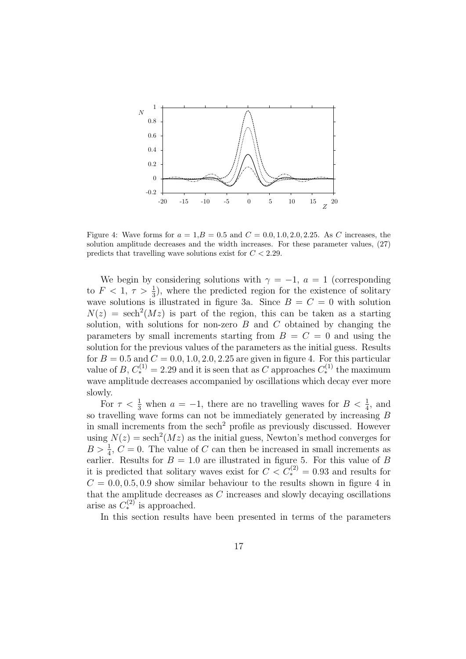

Figure 4: Wave forms for  $a = 1, B = 0.5$  and  $C = 0.0, 1.0, 2.0, 2.25$ . As C increases, the solution amplitude decreases and the width increases. For these parameter values, (27) predicts that travelling wave solutions exist for  $C < 2.29$ .

We begin by considering solutions with  $\gamma = -1$ ,  $a = 1$  (corresponding to  $F < 1, \tau > \frac{1}{3}$ , where the predicted region for the existence of solitary wave solutions is illustrated in figure 3a. Since  $B = C = 0$  with solution  $N(z) = sech<sup>2</sup>(Mz)$  is part of the region, this can be taken as a starting solution, with solutions for non-zero  $B$  and  $C$  obtained by changing the parameters by small increments starting from  $B = C = 0$  and using the solution for the previous values of the parameters as the initial guess. Results for  $B = 0.5$  and  $C = 0.0, 1.0, 2.0, 2.25$  are given in figure 4. For this particular value of B,  $C_*^{(1)} = 2.29$  and it is seen that as C approaches  $C_*^{(1)}$  the maximum wave amplitude decreases accompanied by oscillations which decay ever more slowly.

For  $\tau < \frac{1}{3}$  when  $a = -1$ , there are no travelling waves for  $B < \frac{1}{4}$ , and so travelling wave forms can not be immediately generated by increasing  $B$ in small increments from the sech<sup>2</sup> profile as previously discussed. However using  $N(z) = \operatorname{sech}^2(Mz)$  as the initial guess, Newton's method converges for  $B > \frac{1}{4}$ ,  $C = 0$ . The value of C can then be increased in small increments as  $E > 4$ ,  $C = 0$ . The value of C can then be increased in small increments as it is predicted that solitary waves exist for  $C < C_*^{(2)} = 0.93$  and results for  $C = 0.0, 0.5, 0.9$  show similar behaviour to the results shown in figure 4 in that the amplitude decreases as  $C$  increases and slowly decaying oscillations arise as  $C_*^{(2)}$  is approached.

In this section results have been presented in terms of the parameters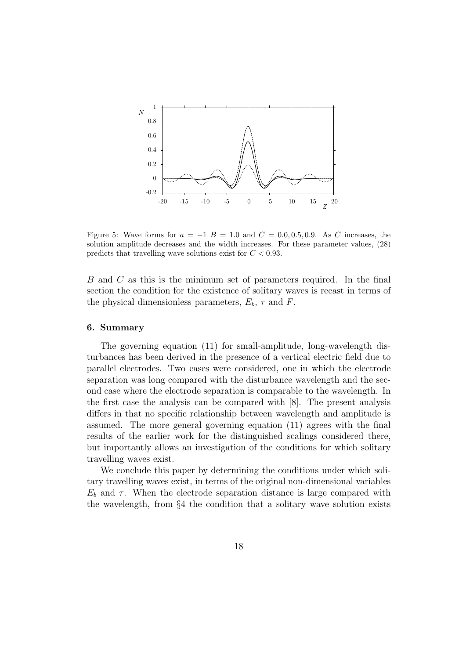

Figure 5: Wave forms for  $a = -1$  B = 1.0 and  $C = 0.0, 0.5, 0.9$ . As C increases, the solution amplitude decreases and the width increases. For these parameter values, (28) predicts that travelling wave solutions exist for  $C < 0.93$ .

B and C as this is the minimum set of parameters required. In the final section the condition for the existence of solitary waves is recast in terms of the physical dimensionless parameters,  $E_b$ ,  $\tau$  and F.

## 6. Summary

The governing equation (11) for small-amplitude, long-wavelength disturbances has been derived in the presence of a vertical electric field due to parallel electrodes. Two cases were considered, one in which the electrode separation was long compared with the disturbance wavelength and the second case where the electrode separation is comparable to the wavelength. In the first case the analysis can be compared with [8]. The present analysis differs in that no specific relationship between wavelength and amplitude is assumed. The more general governing equation (11) agrees with the final results of the earlier work for the distinguished scalings considered there, but importantly allows an investigation of the conditions for which solitary travelling waves exist.

We conclude this paper by determining the conditions under which solitary travelling waves exist, in terms of the original non-dimensional variables  $E<sub>b</sub>$  and  $\tau$ . When the electrode separation distance is large compared with the wavelength, from §4 the condition that a solitary wave solution exists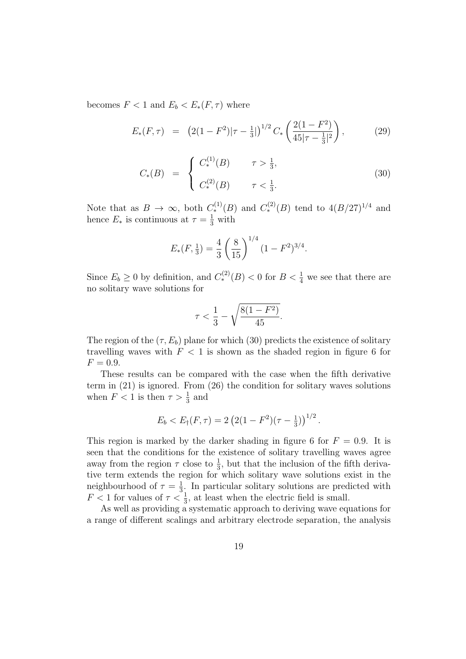becomes  $F < 1$  and  $E_b < E_*(F, \tau)$  where

$$
E_*(F,\tau) = (2(1-F^2)|\tau - \frac{1}{3}|)^{1/2} C_* \left(\frac{2(1-F^2)}{45|\tau - \frac{1}{3}|^2}\right), \tag{29}
$$

$$
C_*(B) = \begin{cases} C_*^{(1)}(B) & \tau > \frac{1}{3}, \\ C_*^{(2)}(B) & \tau < \frac{1}{3}. \end{cases}
$$
 (30)

Note that as  $B \to \infty$ , both  $C_*^{(1)}(B)$  and  $C_*^{(2)}(B)$  tend to  $4(B/27)^{1/4}$  and hence  $E_*$  is continuous at  $\tau = \frac{1}{3}$  with

$$
E_*(F, \frac{1}{3}) = \frac{4}{3} \left(\frac{8}{15}\right)^{1/4} (1 - F^2)^{3/4}.
$$

Since  $E_b \ge 0$  by definition, and  $C_*^{(2)}(B) < 0$  for  $B < \frac{1}{4}$  we see that there are no solitary wave solutions for

$$
\tau < \frac{1}{3} - \sqrt{\frac{8(1 - F^2)}{45}}.
$$

The region of the  $(\tau, E_b)$  plane for which (30) predicts the existence of solitary travelling waves with  $F < 1$  is shown as the shaded region in figure 6 for  $F = 0.9.$ 

These results can be compared with the case when the fifth derivative term in (21) is ignored. From (26) the condition for solitary waves solutions when  $F < 1$  is then  $\tau > \frac{1}{3}$  and

$$
E_b < E_{\dagger}(F,\tau) = 2\left(2(1-F^2)(\tau-\frac{1}{3})\right)^{1/2}.
$$

This region is marked by the darker shading in figure 6 for  $F = 0.9$ . It is seen that the conditions for the existence of solitary travelling waves agree away from the region  $\tau$  close to  $\frac{1}{3}$ , but that the inclusion of the fifth derivative term extends the region for which solitary wave solutions exist in the neighbourhood of  $\tau = \frac{1}{3}$  $\frac{1}{3}$ . In particular solitary solutions are predicted with  $F < 1$  for values of  $\tau < \frac{1}{3}$ , at least when the electric field is small.

As well as providing a systematic approach to deriving wave equations for a range of different scalings and arbitrary electrode separation, the analysis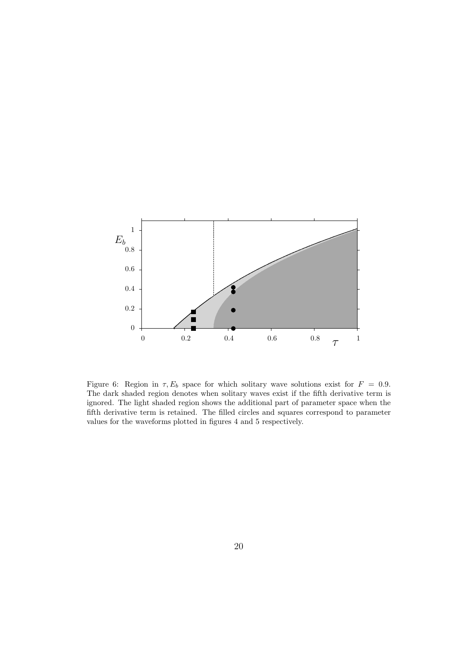

Figure 6: Region in  $\tau$ ,  $E_b$  space for which solitary wave solutions exist for  $F = 0.9$ . The dark shaded region denotes when solitary waves exist if the fifth derivative term is ignored. The light shaded region shows the additional part of parameter space when the fifth derivative term is retained. The filled circles and squares correspond to parameter values for the waveforms plotted in figures 4 and 5 respectively.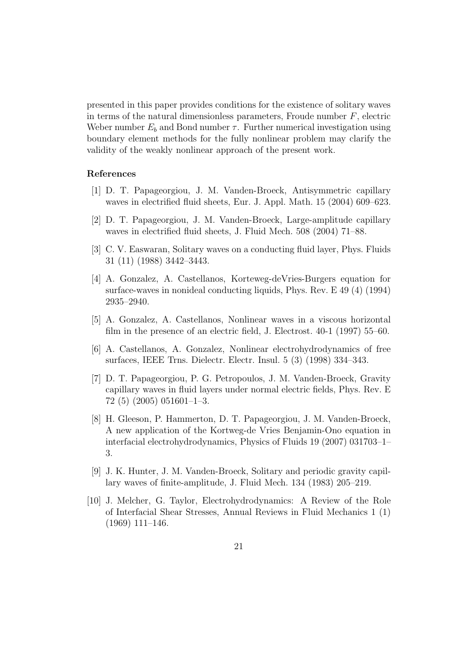presented in this paper provides conditions for the existence of solitary waves in terms of the natural dimensionless parameters, Froude number  $F$ , electric Weber number  $E_b$  and Bond number  $\tau$ . Further numerical investigation using boundary element methods for the fully nonlinear problem may clarify the validity of the weakly nonlinear approach of the present work.

## References

- [1] D. T. Papageorgiou, J. M. Vanden-Broeck, Antisymmetric capillary waves in electrified fluid sheets, Eur. J. Appl. Math. 15 (2004) 609–623.
- [2] D. T. Papageorgiou, J. M. Vanden-Broeck, Large-amplitude capillary waves in electrified fluid sheets, J. Fluid Mech. 508 (2004) 71–88.
- [3] C. V. Easwaran, Solitary waves on a conducting fluid layer, Phys. Fluids 31 (11) (1988) 3442–3443.
- [4] A. Gonzalez, A. Castellanos, Korteweg-deVries-Burgers equation for surface-waves in nonideal conducting liquids, Phys. Rev. E 49 (4) (1994) 2935–2940.
- [5] A. Gonzalez, A. Castellanos, Nonlinear waves in a viscous horizontal film in the presence of an electric field, J. Electrost. 40-1 (1997) 55–60.
- [6] A. Castellanos, A. Gonzalez, Nonlinear electrohydrodynamics of free surfaces, IEEE Trns. Dielectr. Electr. Insul. 5 (3) (1998) 334–343.
- [7] D. T. Papageorgiou, P. G. Petropoulos, J. M. Vanden-Broeck, Gravity capillary waves in fluid layers under normal electric fields, Phys. Rev. E  $72(5)(2005)051601-1-3.$
- [8] H. Gleeson, P. Hammerton, D. T. Papageorgiou, J. M. Vanden-Broeck, A new application of the Kortweg-de Vries Benjamin-Ono equation in interfacial electrohydrodynamics, Physics of Fluids 19 (2007) 031703–1– 3.
- [9] J. K. Hunter, J. M. Vanden-Broeck, Solitary and periodic gravity capillary waves of finite-amplitude, J. Fluid Mech. 134 (1983) 205–219.
- [10] J. Melcher, G. Taylor, Electrohydrodynamics: A Review of the Role of Interfacial Shear Stresses, Annual Reviews in Fluid Mechanics 1 (1) (1969) 111–146.